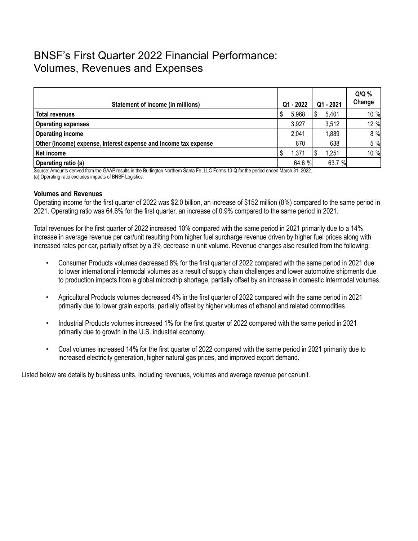## BNSF's First Quarter 2022 Financial Performance: Volumes, Revenues and Expenses

| Statement of Income (in millions)                               | Q1 - 2022 | Q1 - 2021 | $Q/Q$ %<br>Change |
|-----------------------------------------------------------------|-----------|-----------|-------------------|
| Total revenues                                                  | 5,968     | 5,401     | 10 %              |
| <b>Operating expenses</b>                                       | 3,927     | 3,512     | 12 %              |
| <b>Operating income</b>                                         | 2,041     | 1,889     | 8 %               |
| Other (income) expense, Interest expense and Income tax expense | 670       | 638       | 5 %               |
| Net income                                                      | 1,371     | 1,251     | 10 %              |
| Operating ratio (a)                                             | 64.6 %    | 63.7 %    |                   |

Source: Amounts derived from the GAAP results in the Burlington Northern Santa Fe, LLC Forms 10-Q for the period ended March 31, 2022. (a) Operating ratio excludes impacts of BNSF Logistics.

## **Volumes and Revenues**

Operating income for the first quarter of 2022 was \$2.0 billion, an increase of \$152 million (8%) compared to the same period in 2021. Operating ratio was 64.6% for the first quarter, an increase of 0.9% compared to the same period in 2021.

Total revenues for the first quarter of 2022 increased 10% compared with the same period in 2021 primarily due to a 14% increase in average revenue per car/unit resulting from higher fuel surcharge revenue driven by higher fuel prices along with increased rates per car, partially offset by a 3% decrease in unit volume. Revenue changes also resulted from the following:

- Consumer Products volumes decreased 8% for the first quarter of 2022 compared with the same period in 2021 due to lower international intermodal volumes as a result of supply chain challenges and lower automotive shipments due to production impacts from a global microchip shortage, partially offset by an increase in domestic intermodal volumes.
- Agricultural Products volumes decreased 4% in the first quarter of 2022 compared with the same period in 2021 primarily due to lower grain exports, partially offset by higher volumes of ethanol and related commodities.
- Industrial Products volumes increased 1% for the first quarter of 2022 compared with the same period in 2021 primarily due to growth in the U.S. industrial economy.
- Coal volumes increased 14% for the first quarter of 2022 compared with the same period in 2021 primarily due to increased electricity generation, higher natural gas prices, and improved export demand.

Listed below are details by business units, including revenues, volumes and average revenue per car/unit.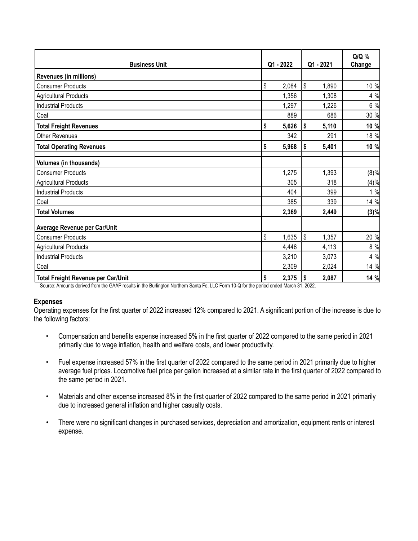| <b>Business Unit</b>               |                           | Q1 - 2022 |            |       |      | Q1 - 2021 | Q/Q %<br>Change |
|------------------------------------|---------------------------|-----------|------------|-------|------|-----------|-----------------|
| <b>Revenues (in millions)</b>      |                           |           |            |       |      |           |                 |
| <b>Consumer Products</b>           | $\sqrt[6]{\frac{1}{2}}$   | 2,084     | l\$        | 1,890 | 10 % |           |                 |
| <b>Agricultural Products</b>       |                           | 1,356     |            | 1,308 | 4 %  |           |                 |
| <b>Industrial Products</b>         |                           | 1,297     |            | 1,226 | 6 %  |           |                 |
| Coal                               |                           | 889       |            | 686   | 30 % |           |                 |
| <b>Total Freight Revenues</b>      | \$                        | 5,626     | \$         | 5,110 | 10 % |           |                 |
| Other Revenues                     |                           | 342       |            | 291   | 18 % |           |                 |
| <b>Total Operating Revenues</b>    | \$                        | 5,968     | l\$        | 5,401 | 10 % |           |                 |
| <b>Volumes (in thousands)</b>      |                           |           |            |       |      |           |                 |
| <b>Consumer Products</b>           |                           | 1,275     |            | 1,393 | (8)% |           |                 |
| <b>Agricultural Products</b>       |                           | 305       |            | 318   | (4)% |           |                 |
| <b>Industrial Products</b>         |                           | 404       |            | 399   | 1%   |           |                 |
| Coal                               |                           | 385       |            | 339   | 14 % |           |                 |
| <b>Total Volumes</b>               |                           | 2,369     |            | 2,449 | (3)% |           |                 |
| Average Revenue per Car/Unit       |                           |           |            |       |      |           |                 |
| <b>Consumer Products</b>           | $\boldsymbol{\mathsf{S}}$ | 1,635     | $\sqrt{3}$ | 1,357 | 20 % |           |                 |
| <b>Agricultural Products</b>       |                           | 4,446     |            | 4,113 | 8 %  |           |                 |
| <b>Industrial Products</b>         |                           | 3,210     |            | 3,073 | 4 %  |           |                 |
| Coal                               |                           | 2,309     |            | 2,024 | 14 % |           |                 |
| Total Freight Revenue per Car/Unit | \$                        | 2,375     | l\$        | 2,087 | 14 % |           |                 |

Source: Amounts derived from the GAAP results in the Burlington Northern Santa Fe, LLC Form 10-Q for the period ended March 31, 2022.

## **Expenses**

Operating expenses for the first quarter of 2022 increased 12% compared to 2021. A significant portion of the increase is due to the following factors:

- Compensation and benefits expense increased 5% in the first quarter of 2022 compared to the same period in 2021 primarily due to wage inflation, health and welfare costs, and lower productivity.
- Fuel expense increased 57% in the first quarter of 2022 compared to the same period in 2021 primarily due to higher average fuel prices. Locomotive fuel price per gallon increased at a similar rate in the first quarter of 2022 compared to the same period in 2021.
- Materials and other expense increased 8% in the first quarter of 2022 compared to the same period in 2021 primarily due to increased general inflation and higher casualty costs.
- There were no significant changes in purchased services, depreciation and amortization, equipment rents or interest expense.